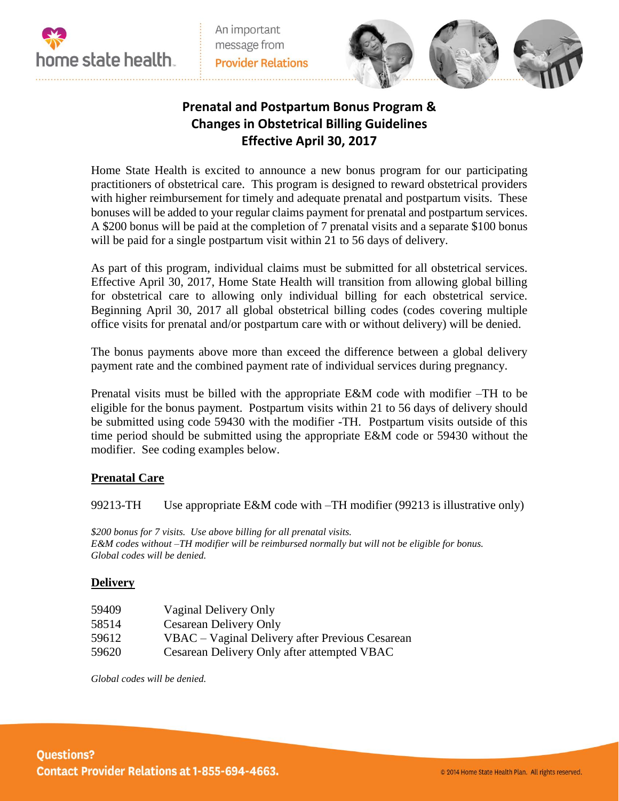

An important message from **Provider Relations** 



## **Prenatal and Postpartum Bonus Program & Changes in Obstetrical Billing Guidelines Effective April 30, 2017**

Home State Health is excited to announce a new bonus program for our participating practitioners of obstetrical care. This program is designed to reward obstetrical providers with higher reimbursement for timely and adequate prenatal and postpartum visits. These bonuses will be added to your regular claims payment for prenatal and postpartum services. A \$200 bonus will be paid at the completion of 7 prenatal visits and a separate \$100 bonus will be paid for a single postpartum visit within 21 to 56 days of delivery.

As part of this program, individual claims must be submitted for all obstetrical services. Effective April 30, 2017, Home State Health will transition from allowing global billing for obstetrical care to allowing only individual billing for each obstetrical service. Beginning April 30, 2017 all global obstetrical billing codes (codes covering multiple office visits for prenatal and/or postpartum care with or without delivery) will be denied.

The bonus payments above more than exceed the difference between a global delivery payment rate and the combined payment rate of individual services during pregnancy.

Prenatal visits must be billed with the appropriate E&M code with modifier –TH to be eligible for the bonus payment. Postpartum visits within 21 to 56 days of delivery should be submitted using code 59430 with the modifier -TH. Postpartum visits outside of this time period should be submitted using the appropriate E&M code or 59430 without the modifier. See coding examples below.

## **Prenatal Care**

99213-TH Use appropriate E&M code with –TH modifier (99213 is illustrative only)

*\$200 bonus for 7 visits. Use above billing for all prenatal visits. E&M codes without –TH modifier will be reimbursed normally but will not be eligible for bonus. Global codes will be denied.*

## **Delivery**

| 59409 | Vaginal Delivery Only                           |
|-------|-------------------------------------------------|
| 58514 | <b>Cesarean Delivery Only</b>                   |
| 59612 | VBAC – Vaginal Delivery after Previous Cesarean |
| 59620 | Cesarean Delivery Only after attempted VBAC     |

*Global codes will be denied.*